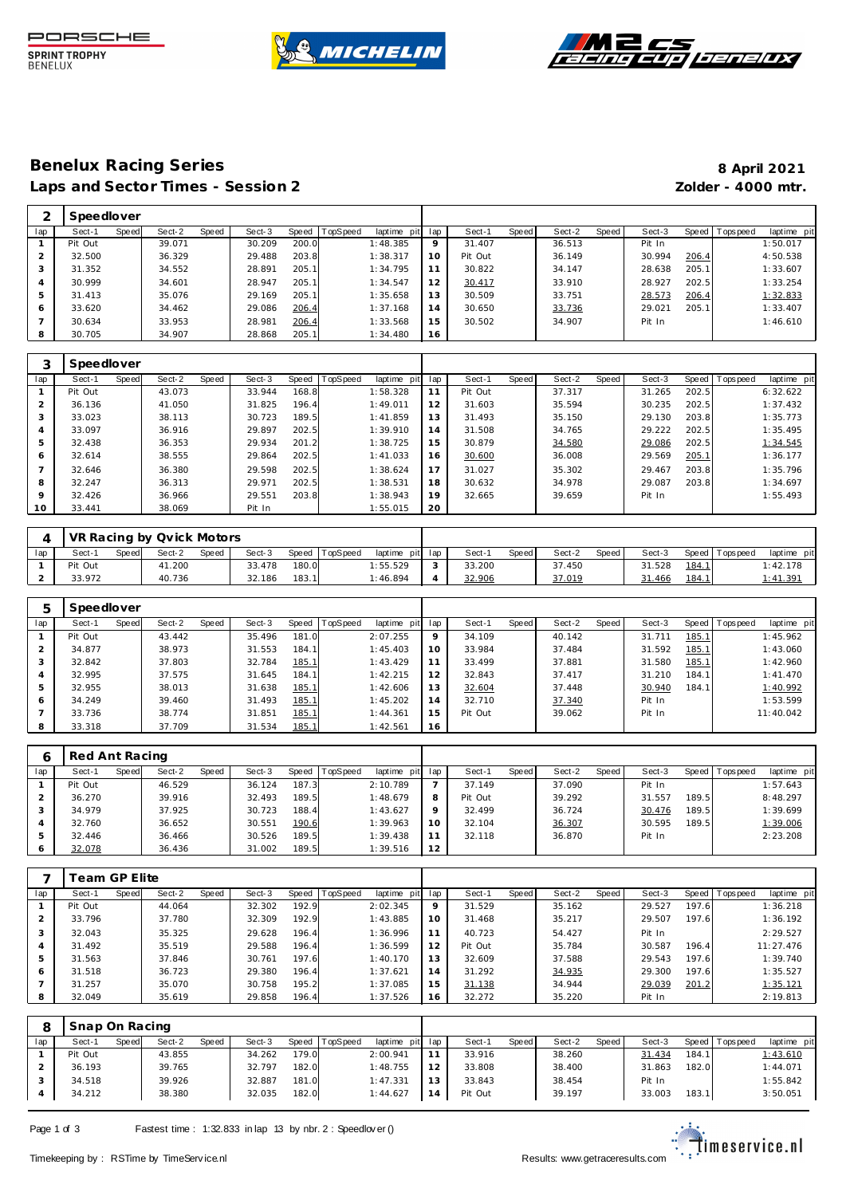





### **Benelux Racing Series 8 April 2021** Laps and Sector Times - Session 2 *Zolder - 4000 mtr.*

|     | Speedlover |       |        |       |        |       |         |                |         |         |       |        |       |        |       |                 |                |
|-----|------------|-------|--------|-------|--------|-------|---------|----------------|---------|---------|-------|--------|-------|--------|-------|-----------------|----------------|
| lap | Sect-1     | Speed | Sect-2 | Speed | Sect-3 | Speed | opSpeed | laptime<br>pit | lap     | Sect-1  | Speed | Sect-2 | Speed | Sect-3 |       | Speed Tops peed | laptime<br>pit |
|     | Pit Out    |       | 39.071 |       | 30.209 | 200.0 |         | 1:48.385       | $\circ$ | 31.407  |       | 36.513 |       | Pit In |       |                 | 1:50.017       |
|     | 32.500     |       | 36.329 |       | 29.488 | 203.8 |         | 1:38.317       | 10      | Pit Out |       | 36.149 |       | 30.994 | 206.4 |                 | 4:50.538       |
| 3   | 31.352     |       | 34.552 |       | 28.891 | 205.1 |         | 1:34.795       |         | 30.822  |       | 34.147 |       | 28.638 | 205.1 |                 | 1:33.607       |
| 4   | 30.999     |       | 34.601 |       | 28.947 | 205.1 |         | 1:34.547       | 12      | 30.417  |       | 33.910 |       | 28.927 | 202.5 |                 | 1:33.254       |
| 5   | 31.413     |       | 35.076 |       | 29.169 | 205.1 |         | 1:35.658       | 13      | 30.509  |       | 33.751 |       | 28.573 | 206.4 |                 | 1:32.833       |
| 6   | 33.620     |       | 34.462 |       | 29.086 | 206.4 |         | 1:37.168       | 14      | 30.650  |       | 33.736 |       | 29.021 | 205.1 |                 | 1:33.407       |
|     | 30.634     |       | 33.953 |       | 28.981 | 206.4 |         | 1:33.568       | 15      | 30.502  |       | 34.907 |       | Pit In |       |                 | 1:46.610       |
| 8   | 30.705     |       | 34.907 |       | 28.868 | 205.1 |         | 1:34.480       | 16      |         |       |        |       |        |       |                 |                |

|     | Speedlover |       |        |       |        |       |          |             |     |         |       |        |       |        |       |                 |             |
|-----|------------|-------|--------|-------|--------|-------|----------|-------------|-----|---------|-------|--------|-------|--------|-------|-----------------|-------------|
| lap | Sect-1     | Speed | Sect-2 | Speed | Sect-3 | Speed | TopSpeed | laptime pit | lap | Sect-1  | Speed | Sect-2 | Speed | Sect-3 |       | Speed Tops peed | laptime pit |
|     | Pit Out    |       | 43.073 |       | 33.944 | 168.8 |          | 1:58.328    | 11  | Pit Out |       | 37.317 |       | 31.265 | 202.5 |                 | 6:32.622    |
|     | 36.136     |       | 41.050 |       | 31.825 | 196.4 |          | 1:49.011    | 12  | 31.603  |       | 35.594 |       | 30.235 | 202.5 |                 | 1:37.432    |
| 3   | 33.023     |       | 38.113 |       | 30.723 | 189.5 |          | 1:41.859    | 13  | 31.493  |       | 35.150 |       | 29.130 | 203.8 |                 | 1:35.773    |
| 4   | 33.097     |       | 36.916 |       | 29.897 | 202.5 |          | 1:39.910    | 14  | 31.508  |       | 34.765 |       | 29.222 | 202.5 |                 | 1:35.495    |
| 5   | 32.438     |       | 36.353 |       | 29.934 | 201.2 |          | 1:38.725    | 15  | 30.879  |       | 34.580 |       | 29.086 | 202.5 |                 | 1:34.545    |
| 6   | 32.614     |       | 38.555 |       | 29.864 | 202.5 |          | 1:41.033    | 16  | 30.600  |       | 36.008 |       | 29.569 | 205.1 |                 | 1:36.177    |
|     | 32.646     |       | 36.380 |       | 29.598 | 202.5 |          | 1:38.624    | 17  | 31.027  |       | 35.302 |       | 29.467 | 203.8 |                 | 1:35.796    |
| 8   | 32.247     |       | 36.313 |       | 29.971 | 202.5 |          | 1:38.531    | 18  | 30.632  |       | 34.978 |       | 29.087 | 203.8 |                 | 1:34.697    |
| 9   | 32.426     |       | 36.966 |       | 29.551 | 203.8 |          | 1:38.943    | 19  | 32.665  |       | 39.659 |       | Pit In |       |                 | 1:55.493    |
| 10  | 33.441     |       | 38.069 |       | Pit In |       |          | 1:55.015    | 20  |         |       |        |       |        |       |                 |             |

|     |         |       | VR Racing by Qvick Motors |       |        |       |                |                 |        |       |        |         |        |       |                   |                 |  |
|-----|---------|-------|---------------------------|-------|--------|-------|----------------|-----------------|--------|-------|--------|---------|--------|-------|-------------------|-----------------|--|
| lap | Sect-′  | Speed | Sect-2                    | Speed | Sect-3 |       | Speed TopSpeed | laptime pit lap | Sect-  | Speed | Sect-2 | Speed I | Sect-3 |       | Speed   Tops peed | laptime pit     |  |
|     | Pit Out |       | 41.200                    |       | 33.478 | 180.0 |                | 1:55.529        | 33.200 |       | 37.450 |         | 31.528 | 184.1 |                   | 1:42.178        |  |
|     | 33.972  |       | 40.736                    |       | 32.186 | 183.1 |                | 1:46.894        | 32.906 |       | 37.019 |         | 31.466 | 184.1 |                   | <u>1:41.391</u> |  |

| 5              | Speedlover |       |        |       |        |       |                 |             |         |         |       |        |       |        |       |                 |             |
|----------------|------------|-------|--------|-------|--------|-------|-----------------|-------------|---------|---------|-------|--------|-------|--------|-------|-----------------|-------------|
| lap            | Sect-1     | Speed | Sect-2 | Speed | Sect-3 | Speed | <b>TopSpeed</b> | laptime pit | lap     | Sect-1  | Speed | Sect-2 | Speed | Sect-3 |       | Speed Tops peed | laptime pit |
|                | Pit Out    |       | 43.442 |       | 35.496 | 181.0 |                 | 2:07.255    | $\circ$ | 34.109  |       | 40.142 |       | 31.711 | 185.1 |                 | 1:45.962    |
| $\overline{2}$ | 34.877     |       | 38.973 |       | 31.553 | 184.1 |                 | 1:45.403    | 10      | 33.984  |       | 37.484 |       | 31.592 | 185.1 |                 | 1:43.060    |
| 3              | 32.842     |       | 37.803 |       | 32.784 | 185.1 |                 | 1:43.429    | 11      | 33.499  |       | 37.881 |       | 31.580 | 185.1 |                 | 1:42.960    |
| 4              | 32.995     |       | 37.575 |       | 31.645 | 184.1 |                 | 1:42.215    | 12      | 32.843  |       | 37.417 |       | 31.210 | 184.1 |                 | 1:41.470    |
| 5              | 32.955     |       | 38.013 |       | 31.638 | 185.1 |                 | 1:42.606    | 13      | 32.604  |       | 37.448 |       | 30.940 | 184.1 |                 | 1:40.992    |
| 6              | 34.249     |       | 39.460 |       | 31.493 | 185.1 |                 | 1:45.202    | 14      | 32.710  |       | 37.340 |       | Pit In |       |                 | 1:53.599    |
|                | 33.736     |       | 38.774 |       | 31.851 | 185.1 |                 | 1: 44.361   | 15      | Pit Out |       | 39.062 |       | Pit In |       |                 | 11:40.042   |
| 8              | 33.318     |       | 37.709 |       | 31.534 | 185.1 |                 | 1:42.561    | 16      |         |       |        |       |        |       |                 |             |

|               | Red Ant Racing |       |        |       |        |           |          |                 |         |         |       |        |       |        |       |                |             |
|---------------|----------------|-------|--------|-------|--------|-----------|----------|-----------------|---------|---------|-------|--------|-------|--------|-------|----------------|-------------|
| lap           | Sect-1         | Speed | Sect-2 | Speed | Sect-3 | Speed   T | TopSpeed | laptime pit lap |         | Sect-1  | Speed | Sect-2 | Speed | Sect-3 |       | Speed Topspeed | laptime pit |
|               | Pit Out        |       | 46.529 |       | 36.124 | 187.3     |          | 2:10.789        |         | 37.149  |       | 37.090 |       | Pit In |       |                | 1:57.643    |
|               | 36.270         |       | 39.916 |       | 32.493 | 189.5     |          | 1:48.679        | 8       | Pit Out |       | 39.292 |       | 31.557 | 189.5 |                | 8:48.297    |
|               | 34.979         |       | 37.925 |       | 30.723 | 188.4     |          | 1:43.627        | $\circ$ | 32.499  |       | 36.724 |       | 30.476 | 189.5 |                | 1:39.699    |
|               | 32.760         |       | 36.652 |       | 30.551 | 190.6     |          | 1:39.963        | 10      | 32.104  |       | 36.307 |       | 30.595 | 189.5 |                | 1:39.006    |
| $\mathcal{P}$ | 32.446         |       | 36.466 |       | 30.526 | 189.5     |          | 1:39.438        |         | 32.118  |       | 36.870 |       | Pit In |       |                | 2:23.208    |
| 6             | 32.078         |       | 36.436 |       | 31.002 | 189.5     |          | 1:39.516        | 12      |         |       |        |       |        |       |                |             |

|                | Team GP Elite. |       |        |       |        |       |                  |             |     |         |       |        |       |        |       |            |             |
|----------------|----------------|-------|--------|-------|--------|-------|------------------|-------------|-----|---------|-------|--------|-------|--------|-------|------------|-------------|
| lap            | Sect-1         | Speed | Sect-2 | Speed | Sect-3 |       | Speed   TopSpeed | laptime pit | lap | Sect-1  | Speed | Sect-2 | Speed | Sect-3 | Speed | Tops pee d | laptime pit |
|                | Pit Out        |       | 44.064 |       | 32.302 | 192.9 |                  | 2:02.345    | 9   | 31.529  |       | 35.162 |       | 29.527 | 197.6 |            | 1:36.218    |
|                | 33.796         |       | 37.780 |       | 32.309 | 192.9 |                  | 1:43.885    | 10  | 31.468  |       | 35.217 |       | 29.507 | 197.6 |            | 1:36.192    |
| 3              | 32.043         |       | 35.325 |       | 29.628 | 196.4 |                  | 1:36.996    | 11  | 40.723  |       | 54.427 |       | Pit In |       |            | 2:29.527    |
| $\overline{A}$ | 31.492         |       | 35.519 |       | 29.588 | 196.4 |                  | 1:36.599    | 12  | Pit Out |       | 35.784 |       | 30.587 | 196.4 |            | 11:27.476   |
| 5              | 31.563         |       | 37.846 |       | 30.761 | 197.6 |                  | 1:40.170    | 13  | 32.609  |       | 37.588 |       | 29.543 | 197.6 |            | 1:39.740    |
| 6              | 31.518         |       | 36.723 |       | 29.380 | 196.4 |                  | 1:37.621    | 14  | 31.292  |       | 34.935 |       | 29.300 | 197.6 |            | 1:35.527    |
|                | 31.257         |       | 35.070 |       | 30.758 | 195.2 |                  | 1:37.085    | 15  | 31.138  |       | 34.944 |       | 29.039 | 201.2 |            | 1:35.121    |
| 8              | 32.049         |       | 35.619 |       | 29.858 | 196.4 |                  | 1:37.526    | 16  | 32.272  |       | 35.220 |       | Pit In |       |            | 2:19.813    |

|     | Snap On Racing |       |        |              |        |       |                 |                 |    |         |              |        |       |        |       |            |             |
|-----|----------------|-------|--------|--------------|--------|-------|-----------------|-----------------|----|---------|--------------|--------|-------|--------|-------|------------|-------------|
| lap | Sect-′         | Speed | Sect-2 | <b>Speed</b> | Sect-3 | Speed | <b>TopSpeed</b> | laptime pit lap |    | Sect-1  | <b>Speed</b> | Sect-2 | Speed | Sect-3 | Speed | T ops peed | laptime pit |
|     | Pit Out        |       | 43.855 |              | 34.262 | 179.0 |                 | 2:00.941        |    | 33.916  |              | 38.260 |       | 31.434 | 184.1 |            | 1:43.610    |
|     | 36.193         |       | 39.765 |              | 32.797 | 182.0 |                 | 1:48.755        | 12 | 33.808  |              | 38.400 |       | 31.863 | 182.0 |            | 1:44.071    |
|     | 34.518         |       | 39.926 |              | 32.887 | 181.0 |                 | 1:47.331        | 13 | 33.843  |              | 38.454 |       | Pit In |       |            | 1:55.842    |
|     | 34.212         |       | 38.380 |              | 32.035 | 182.0 |                 | 1:44.627        | 14 | Pit Out |              | 39.197 |       | 33.003 | 183.1 |            | 3:50.051    |

Page 1 of 3 Fastest time : 1:32.833 in lap 13 by nbr. 2 : Speedlov er ()

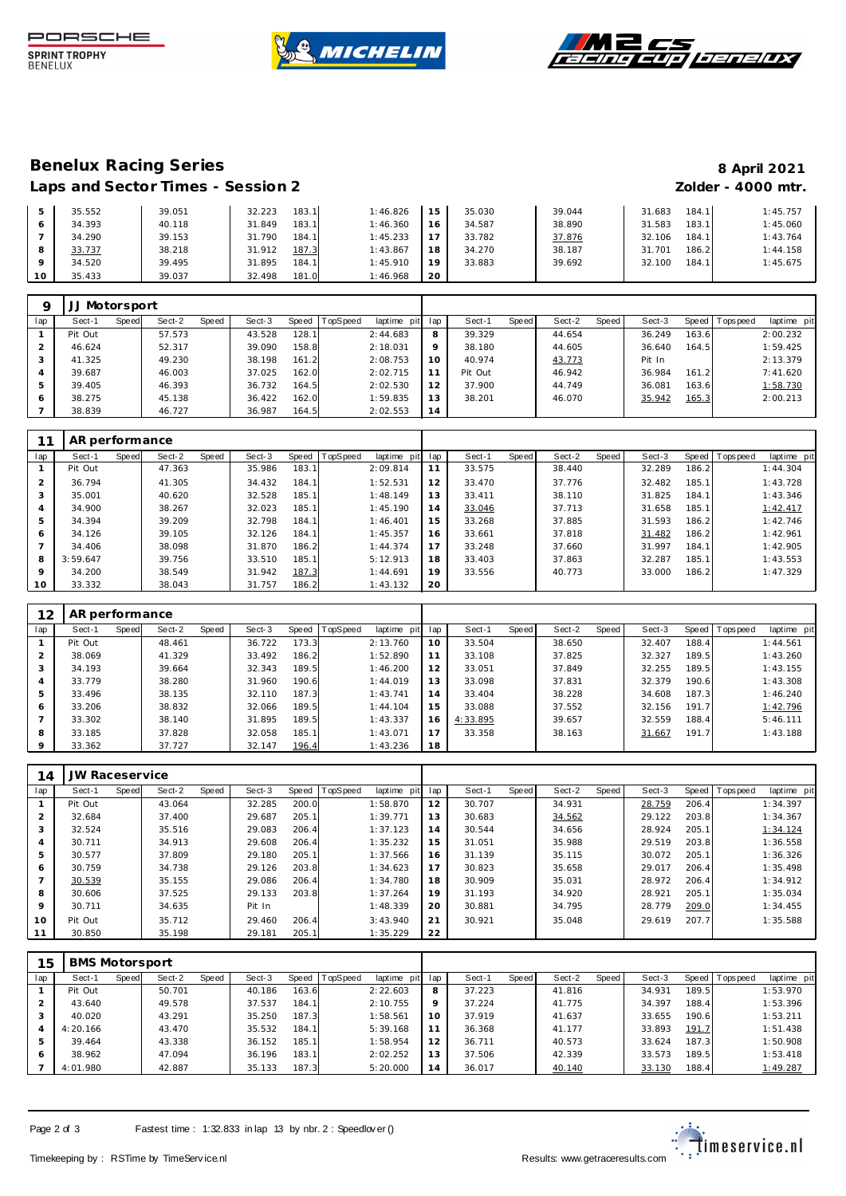





## **Benelux Racing Series 8 April 2021**

# Laps and Sector Times - Session 2 *Zolder - 4000 mtr.*

|                 | 35.552 | 39.051 | 183.1<br>32.223 | 1:46.826<br>15 | 35.030 | 39.044 | 184.1<br>31.683 | 1:45.757 |
|-----------------|--------|--------|-----------------|----------------|--------|--------|-----------------|----------|
|                 | 34.393 | 40.118 | 183.1<br>31.849 | 1:46.360<br>16 | 34.587 | 38.890 | 183.1<br>31.583 | 1:45.060 |
|                 | 34.290 | 39.153 | 184.1<br>31.790 | 1:45.233       | 33.782 | 37.876 | 184.1<br>32.106 | 1:43.764 |
|                 | 33.737 | 38.218 | 187.3<br>31.912 | 1:43.867<br>18 | 34.270 | 38.187 | 186.2<br>31.701 | 1:44.158 |
|                 | 34.520 | 39.495 | 184.1<br>31.895 | 1:45.910<br>19 | 33.883 | 39.692 | 184.1<br>32.100 | 1:45.675 |
| 10 <sup>°</sup> | 35.433 | 39.037 | 181.0<br>32.498 | 1:46.968<br>20 |        |        |                 |          |

|     | JJ Motorsport |              |        |       |        |           |                 |                 |         |         |       |        |       |        |       |                 |             |
|-----|---------------|--------------|--------|-------|--------|-----------|-----------------|-----------------|---------|---------|-------|--------|-------|--------|-------|-----------------|-------------|
| lap | Sect-1        | <b>Speed</b> | Sect-2 | Speed | Sect-3 | Speed   T | <b>TopSpeed</b> | laptime pit lap |         | Sect-1  | Speed | Sect-2 | Speed | Sect-3 |       | Speed Tops peed | laptime pit |
|     | Pit Out       |              | 57.573 |       | 43.528 | 128.1     |                 | 2:44.683        | 8       | 39.329  |       | 44.654 |       | 36.249 | 163.6 |                 | 2:00.232    |
|     | 46.624        |              | 52.317 |       | 39.090 | 158.8     |                 | 2:18.031        | $\circ$ | 38.180  |       | 44.605 |       | 36.640 | 164.5 |                 | 1:59.425    |
| 3   | 41.325        |              | 49.230 |       | 38.198 | 161.2     |                 | 2:08.753        | 10      | 40.974  |       | 43.773 |       | Pit In |       |                 | 2:13.379    |
| 4   | 39.687        |              | 46.003 |       | 37.025 | 162.0     |                 | 2:02.715        |         | Pit Out |       | 46.942 |       | 36.984 | 161.2 |                 | 7:41.620    |
| 5   | 39.405        |              | 46.393 |       | 36.732 | 164.5     |                 | 2:02.530        | 12      | 37.900  |       | 44.749 |       | 36.081 | 163.6 |                 | 1:58.730    |
| 6   | 38.275        |              | 45.138 |       | 36.422 | 162.0     |                 | 1:59.835        | 13      | 38.201  |       | 46.070 |       | 35.942 | 165.3 |                 | 2:00.213    |
|     | 38.839        |              | 46.727 |       | 36.987 | 164.5     |                 | 2:02.553        | 14      |         |       |        |       |        |       |                 |             |

|                | AR performance |       |        |       |        |       |                |                |     |        |       |        |       |        |       |                |             |
|----------------|----------------|-------|--------|-------|--------|-------|----------------|----------------|-----|--------|-------|--------|-------|--------|-------|----------------|-------------|
| lap            | Sect-1         | Speed | Sect-2 | Speed | Sect-3 |       | Speed TopSpeed | laptime<br>pit | lap | Sect-1 | Speed | Sect-2 | Speed | Sect-3 |       | Speed Topspeed | laptime pit |
|                | Pit Out        |       | 47.363 |       | 35.986 | 183.1 |                | 2:09.814       | 11  | 33.575 |       | 38.440 |       | 32.289 | 186.2 |                | 1:44.304    |
| 2              | 36.794         |       | 41.305 |       | 34.432 | 184.1 |                | 1:52.531       | 12  | 33.470 |       | 37.776 |       | 32.482 | 185.1 |                | 1:43.728    |
| 3              | 35.001         |       | 40.620 |       | 32.528 | 185.1 |                | 1:48.149       | 13  | 33.411 |       | 38.110 |       | 31.825 | 184.1 |                | 1:43.346    |
| 4              | 34.900         |       | 38.267 |       | 32.023 | 185.1 |                | 1:45.190       | 14  | 33.046 |       | 37.713 |       | 31.658 | 185.1 |                | 1:42.417    |
| 5              | 34.394         |       | 39.209 |       | 32.798 | 184.1 |                | 1:46.401       | 15  | 33.268 |       | 37.885 |       | 31.593 | 186.2 |                | 1:42.746    |
| 6              | 34.126         |       | 39.105 |       | 32.126 | 184.1 |                | 1:45.357       | 16  | 33.661 |       | 37.818 |       | 31.482 | 186.2 |                | 1:42.961    |
| $\overline{7}$ | 34.406         |       | 38.098 |       | 31.870 | 186.2 |                | 1:44.374       | 17  | 33.248 |       | 37.660 |       | 31.997 | 184.1 |                | 1:42.905    |
| 8              | 3:59.647       |       | 39.756 |       | 33.510 | 185.1 |                | 5:12.913       | 18  | 33.403 |       | 37.863 |       | 32.287 | 185.1 |                | 1:43.553    |
| $\mathsf Q$    | 34.200         |       | 38.549 |       | 31.942 | 187.3 |                | 1:44.691       | 19  | 33.556 |       | 40.773 |       | 33.000 | 186.2 |                | 1:47.329    |
| 10             | 33.332         |       | 38.043 |       | 31.757 | 186.2 |                | 1:43.132       | 20  |        |       |        |       |        |       |                |             |

| 12      | AR performance |       |        |       |        |       |          |             |     |          |       |        |       |        |       |                 |             |
|---------|----------------|-------|--------|-------|--------|-------|----------|-------------|-----|----------|-------|--------|-------|--------|-------|-----------------|-------------|
| lap     | Sect-1         | Speed | Sect-2 | Speed | Sect-3 | Speed | TopSpeed | laptime pit | lap | Sect-1   | Speed | Sect-2 | Speed | Sect-3 |       | Speed Tops peed | laptime pit |
|         | Pit Out        |       | 48.461 |       | 36.722 | 173.3 |          | 2:13.760    | 10  | 33.504   |       | 38.650 |       | 32.407 | 188.4 |                 | 1:44.561    |
|         | 38.069         |       | 41.329 |       | 33.492 | 186.2 |          | 1:52.890    | 11  | 33.108   |       | 37.825 |       | 32.327 | 189.5 |                 | 1:43.260    |
| 3       | 34.193         |       | 39.664 |       | 32.343 | 189.5 |          | 1:46.200    | 12  | 33.051   |       | 37.849 |       | 32.255 | 189.5 |                 | 1:43.155    |
| 4       | 33.779         |       | 38.280 |       | 31.960 | 190.6 |          | 1:44.019    | 13  | 33.098   |       | 37.831 |       | 32.379 | 190.6 |                 | 1:43.308    |
| 5       | 33.496         |       | 38.135 |       | 32.110 | 187.3 |          | 1:43.741    | 14  | 33.404   |       | 38.228 |       | 34.608 | 187.3 |                 | 1:46.240    |
| 6       | 33.206         |       | 38.832 |       | 32.066 | 189.5 |          | 1:44.104    | 15  | 33.088   |       | 37.552 |       | 32.156 | 191.7 |                 | 1:42.796    |
|         | 33.302         |       | 38.140 |       | 31.895 | 189.5 |          | 1:43.337    | 16  | 4:33.895 |       | 39.657 |       | 32.559 | 188.4 |                 | 5:46.111    |
| 8       | 33.185         |       | 37.828 |       | 32.058 | 185.1 |          | 1:43.071    | 17  | 33.358   |       | 38.163 |       | 31.667 | 191.7 |                 | 1:43.188    |
| $\circ$ | 33.362         |       | 37.727 |       | 32.147 | 196.4 |          | 1:43.236    | 18  |          |       |        |       |        |       |                 |             |

| 14             | JW Raceservice |       |        |       |        |       |                  |             |     |        |       |        |       |        |       |                |             |
|----------------|----------------|-------|--------|-------|--------|-------|------------------|-------------|-----|--------|-------|--------|-------|--------|-------|----------------|-------------|
| lap            | Sect-1         | Speed | Sect-2 | Speed | Sect-3 |       | Speed   TopSpeed | laptime pit | lap | Sect-1 | Speed | Sect-2 | Speed | Sect-3 |       | Speed Topspeed | laptime pit |
|                | Pit Out        |       | 43.064 |       | 32.285 | 200.0 |                  | 1:58.870    | 12  | 30.707 |       | 34.931 |       | 28.759 | 206.4 |                | 1:34.397    |
| $\overline{2}$ | 32.684         |       | 37.400 |       | 29.687 | 205.1 |                  | 1:39.771    | 13  | 30.683 |       | 34.562 |       | 29.122 | 203.8 |                | 1:34.367    |
| 3              | 32.524         |       | 35.516 |       | 29.083 | 206.4 |                  | 1:37.123    | 14  | 30.544 |       | 34.656 |       | 28.924 | 205.1 |                | 1:34.124    |
| $\overline{4}$ | 30.711         |       | 34.913 |       | 29.608 | 206.4 |                  | 1:35.232    | 15  | 31.051 |       | 35.988 |       | 29.519 | 203.8 |                | 1:36.558    |
| 5              | 30.577         |       | 37.809 |       | 29.180 | 205.1 |                  | 1:37.566    | 16  | 31.139 |       | 35.115 |       | 30.072 | 205.1 |                | 1:36.326    |
| 6              | 30.759         |       | 34.738 |       | 29.126 | 203.8 |                  | 1:34.623    | 17  | 30.823 |       | 35.658 |       | 29.017 | 206.4 |                | 1:35.498    |
|                | 30.539         |       | 35.155 |       | 29.086 | 206.4 |                  | 1:34.780    | 18  | 30.909 |       | 35.031 |       | 28.972 | 206.4 |                | 1:34.912    |
| 8              | 30.606         |       | 37.525 |       | 29.133 | 203.8 |                  | 1:37.264    | 19  | 31.193 |       | 34.920 |       | 28.921 | 205.1 |                | 1:35.034    |
| 9              | 30.711         |       | 34.635 |       | Pit In |       |                  | 1:48.339    | 20  | 30.881 |       | 34.795 |       | 28.779 | 209.0 |                | 1:34.455    |
| 10             | Pit Out        |       | 35.712 |       | 29.460 | 206.4 |                  | 3:43.940    | 21  | 30.921 |       | 35.048 |       | 29.619 | 207.7 |                | 1:35.588    |
| 11             | 30.850         |       | 35.198 |       | 29.181 | 205.1 |                  | 1:35.229    | 22  |        |       |        |       |        |       |                |             |

| 15  | <b>BMS Motorsport</b> |       |        |       |        |       |                 |             |         |        |       |        |       |        |       |                   |             |
|-----|-----------------------|-------|--------|-------|--------|-------|-----------------|-------------|---------|--------|-------|--------|-------|--------|-------|-------------------|-------------|
| lap | Sect-1                | Speed | Sect-2 | Speed | Sect-3 | Speed | <b>TopSpeed</b> | laptime pit | lap     | Sect-1 | Speed | Sect-2 | Speed | Sect-3 |       | Speed   Tops peed | laptime pit |
|     | Pit Out               |       | 50.701 |       | 40.186 | 163.6 |                 | 2:22.603    | 8       | 37.223 |       | 41.816 |       | 34.931 | 189.5 |                   | 1:53.970    |
|     | 43.640                |       | 49.578 |       | 37.537 | 184.1 |                 | 2:10.755    | $\circ$ | 37.224 |       | 41.775 |       | 34.397 | 188.4 |                   | 1:53.396    |
| 3   | 40.020                |       | 43.291 |       | 35.250 | 187.3 |                 | 1:58.561    | 10      | 37.919 |       | 41.637 |       | 33.655 | 190.6 |                   | 1:53.211    |
| 4   | 4:20.166              |       | 43.470 |       | 35.532 | 184.1 |                 | 5:39.168    |         | 36.368 |       | 41.177 |       | 33.893 | 191.7 |                   | 1:51.438    |
| 5   | 39.464                |       | 43.338 |       | 36.152 | 185.1 |                 | 1:58.954    | 12      | 36.711 |       | 40.573 |       | 33.624 | 187.3 |                   | 1:50.908    |
| 6   | 38.962                |       | 47.094 |       | 36.196 | 183.1 |                 | 2:02.252    | 13      | 37.506 |       | 42.339 |       | 33.573 | 189.5 |                   | 1:53.418    |
|     | 4:01.980              |       | 42.887 |       | 35.133 | 187.3 |                 | 5:20.000    | 14      | 36.017 |       | 40.140 |       | 33.130 | 188.4 |                   | 1:49.287    |